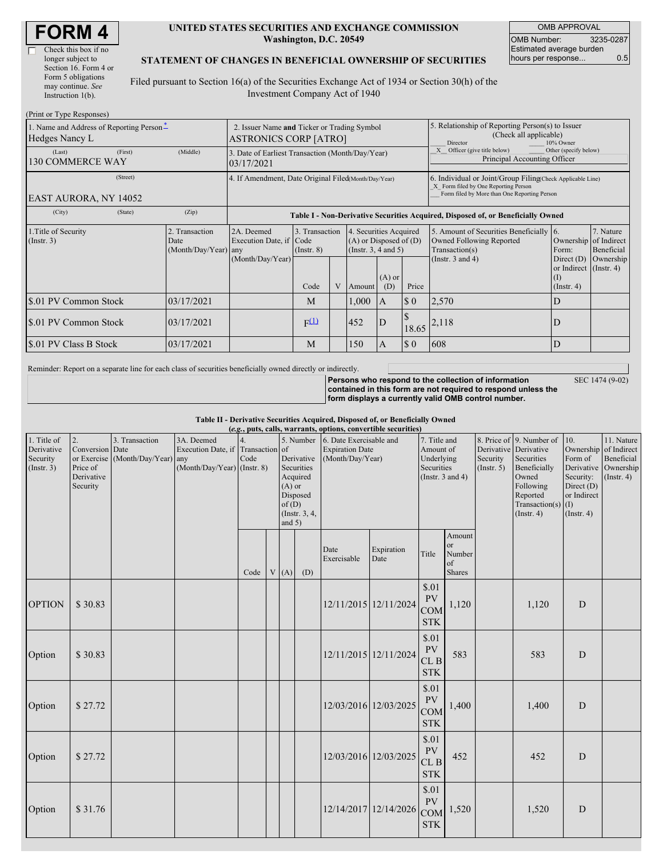| <b>FORM4</b> |  |
|--------------|--|
|--------------|--|

 $\overline{\Gamma}$ 

| Check this box if no  |
|-----------------------|
| longer subject to     |
| Section 16. Form 4 or |
| Form 5 obligations    |
| may continue. See     |
| Instruction $1(b)$ .  |
|                       |

#### **UNITED STATES SECURITIES AND EXCHANGE COMMISSION Washington, D.C. 20549**

OMB APPROVAL OMB Number: 3235-0287 Estimated average burden hours per response... 0.5

#### **STATEMENT OF CHANGES IN BENEFICIAL OWNERSHIP OF SECURITIES**

Filed pursuant to Section 16(a) of the Securities Exchange Act of 1934 or Section 30(h) of the Investment Company Act of 1940

| (Print or Type Responses)                                  |                                                                             |                                                |                                                                                  |                                   |     |                                                                                                     |                                                                                                                                                    |                             |                                                                                       |                                                                   |                         |
|------------------------------------------------------------|-----------------------------------------------------------------------------|------------------------------------------------|----------------------------------------------------------------------------------|-----------------------------------|-----|-----------------------------------------------------------------------------------------------------|----------------------------------------------------------------------------------------------------------------------------------------------------|-----------------------------|---------------------------------------------------------------------------------------|-------------------------------------------------------------------|-------------------------|
| 1. Name and Address of Reporting Person-<br>Hedges Nancy L | 2. Issuer Name and Ticker or Trading Symbol<br><b>ASTRONICS CORP [ATRO]</b> |                                                |                                                                                  |                                   |     | 5. Relationship of Reporting Person(s) to Issuer<br>(Check all applicable)<br>10% Owner<br>Director |                                                                                                                                                    |                             |                                                                                       |                                                                   |                         |
| (Last)<br><b>130 COMMERCE WAY</b>                          | 3. Date of Earliest Transaction (Month/Day/Year)<br>03/17/2021              |                                                |                                                                                  |                                   |     | Officer (give title below)<br>Other (specify below)<br>Principal Accounting Officer                 |                                                                                                                                                    |                             |                                                                                       |                                                                   |                         |
| EAST AURORA, NY 14052                                      | 4. If Amendment, Date Original Filed(Month/Day/Year)                        |                                                |                                                                                  |                                   |     |                                                                                                     | 6. Individual or Joint/Group Filing(Check Applicable Line)<br>X Form filed by One Reporting Person<br>Form filed by More than One Reporting Person |                             |                                                                                       |                                                                   |                         |
| (City)                                                     | (State)                                                                     | (Zip)                                          | Table I - Non-Derivative Securities Acquired, Disposed of, or Beneficially Owned |                                   |     |                                                                                                     |                                                                                                                                                    |                             |                                                                                       |                                                                   |                         |
| 1. Title of Security<br>(Insert. 3)                        |                                                                             | 2. Transaction<br>Date<br>(Month/Day/Year) any | 2A. Deemed<br>Execution Date, if Code                                            | 3. Transaction<br>$($ Instr. $8)$ |     | 4. Securities Acquired<br>$(A)$ or Disposed of $(D)$<br>(Insert. 3, 4 and 5)                        |                                                                                                                                                    |                             | 5. Amount of Securities Beneficially 6.<br>Owned Following Reported<br>Transaction(s) | Ownership of Indirect<br>Form:                                    | 7. Nature<br>Beneficial |
|                                                            |                                                                             |                                                | (Month/Day/Year)                                                                 | Code                              | V   | Amount                                                                                              | $(A)$ or<br>(D)                                                                                                                                    | Price                       | (Instr. $3$ and $4$ )                                                                 | Direct $(D)$<br>or Indirect (Instr. 4)<br>(1)<br>$($ Instr. 4 $)$ | Ownership               |
| \$.01 PV Common Stock                                      |                                                                             | 03/17/2021                                     |                                                                                  | M                                 |     | 1,000                                                                                               | <sup>A</sup>                                                                                                                                       | $\boldsymbol{\mathsf{S}}$ 0 | 2,570                                                                                 | D                                                                 |                         |
| \$.01 PV Common Stock                                      |                                                                             | 03/17/2021                                     |                                                                                  | F(1)                              |     | 452                                                                                                 | D                                                                                                                                                  |                             | $18.65$ $ 2,118$                                                                      | D                                                                 |                         |
| \$.01 PV Class B Stock                                     | 03/17/2021                                                                  |                                                | M                                                                                |                                   | 150 | A                                                                                                   | $\boldsymbol{\mathsf{S}}$ 0                                                                                                                        | 608                         | D                                                                                     |                                                                   |                         |

Reminder: Report on a separate line for each class of securities beneficially owned directly or indirectly.

**Persons who respond to the collection of information contained in this form are not required to respond unless the form displays a currently valid OMB control number.**

SEC 1474 (9-02)

**Table II - Derivative Securities Acquired, Disposed of, or Beneficially Owned**

| (e.g., puts, calls, warrants, options, convertible securities) |                                                             |                                                    |                                                                                  |      |  |                               |                                                                                |                                                                       |                       |                                                |                                               |  |       |                                                       |                       |                                                  |                                                                                                                                      |                                                                                                                          |                                         |
|----------------------------------------------------------------|-------------------------------------------------------------|----------------------------------------------------|----------------------------------------------------------------------------------|------|--|-------------------------------|--------------------------------------------------------------------------------|-----------------------------------------------------------------------|-----------------------|------------------------------------------------|-----------------------------------------------|--|-------|-------------------------------------------------------|-----------------------|--------------------------------------------------|--------------------------------------------------------------------------------------------------------------------------------------|--------------------------------------------------------------------------------------------------------------------------|-----------------------------------------|
| 1. Title of<br>Derivative<br>Security<br>(Insert. 3)           | 2.<br>Conversion Date<br>Price of<br>Derivative<br>Security | 3. Transaction<br>or Exercise (Month/Day/Year) any | 3A. Deemed<br>Execution Date, if Transaction of<br>$(Month/Day/Year)$ (Instr. 8) | Code |  | $(A)$ or<br>of(D)<br>and $5)$ | 5. Number<br>Derivative<br>Securities<br>Acquired<br>Disposed<br>(Instr. 3, 4, | 6. Date Exercisable and<br><b>Expiration Date</b><br>(Month/Day/Year) |                       |                                                |                                               |  |       | 7. Title and<br>Amount of<br>Underlying<br>Securities | (Instr. $3$ and $4$ ) | Derivative Derivative<br>Security<br>(Insert. 5) | 8. Price of 9. Number of<br>Securities<br>Beneficially<br>Owned<br>Following<br>Reported<br>Transaction(s) $(I)$<br>$($ Instr. 4 $)$ | 10.<br>Ownership of Indirect<br>Form of<br>Derivative Ownership<br>Security:<br>Direct (D)<br>or Indirect<br>(Insert. 4) | 11. Nature<br>Beneficial<br>(Insert. 4) |
|                                                                |                                                             |                                                    |                                                                                  | Code |  | V(A)                          | (D)                                                                            | Date<br>Exercisable                                                   | Expiration<br>Date    | Title                                          | Amount<br><b>or</b><br>Number<br>of<br>Shares |  |       |                                                       |                       |                                                  |                                                                                                                                      |                                                                                                                          |                                         |
| <b>OPTION</b>                                                  | \$30.83                                                     |                                                    |                                                                                  |      |  |                               |                                                                                |                                                                       | 12/11/2015 12/11/2024 | \$.01<br>PV<br><b>COM</b><br><b>STK</b>        | 1,120                                         |  | 1,120 | D                                                     |                       |                                                  |                                                                                                                                      |                                                                                                                          |                                         |
| Option                                                         | \$30.83                                                     |                                                    |                                                                                  |      |  |                               |                                                                                |                                                                       | 12/11/2015 12/11/2024 | \$.01<br><b>PV</b><br>CL B<br><b>STK</b>       | 583                                           |  | 583   | D                                                     |                       |                                                  |                                                                                                                                      |                                                                                                                          |                                         |
| Option                                                         | \$27.72                                                     |                                                    |                                                                                  |      |  |                               |                                                                                | 12/03/2016 12/03/2025                                                 |                       | \$.01<br>PV<br><b>COM</b><br><b>STK</b>        | 1,400                                         |  | 1,400 | D                                                     |                       |                                                  |                                                                                                                                      |                                                                                                                          |                                         |
| Option                                                         | \$27.72                                                     |                                                    |                                                                                  |      |  |                               |                                                                                | 12/03/2016 12/03/2025                                                 |                       | \$.01<br><b>PV</b><br>CLB<br><b>STK</b>        | 452                                           |  | 452   | D                                                     |                       |                                                  |                                                                                                                                      |                                                                                                                          |                                         |
| Option                                                         | \$31.76                                                     |                                                    |                                                                                  |      |  |                               |                                                                                |                                                                       | 12/14/2017 12/14/2026 | \$.01<br><b>PV</b><br><b>COM</b><br><b>STK</b> | 1,520                                         |  | 1,520 | D                                                     |                       |                                                  |                                                                                                                                      |                                                                                                                          |                                         |